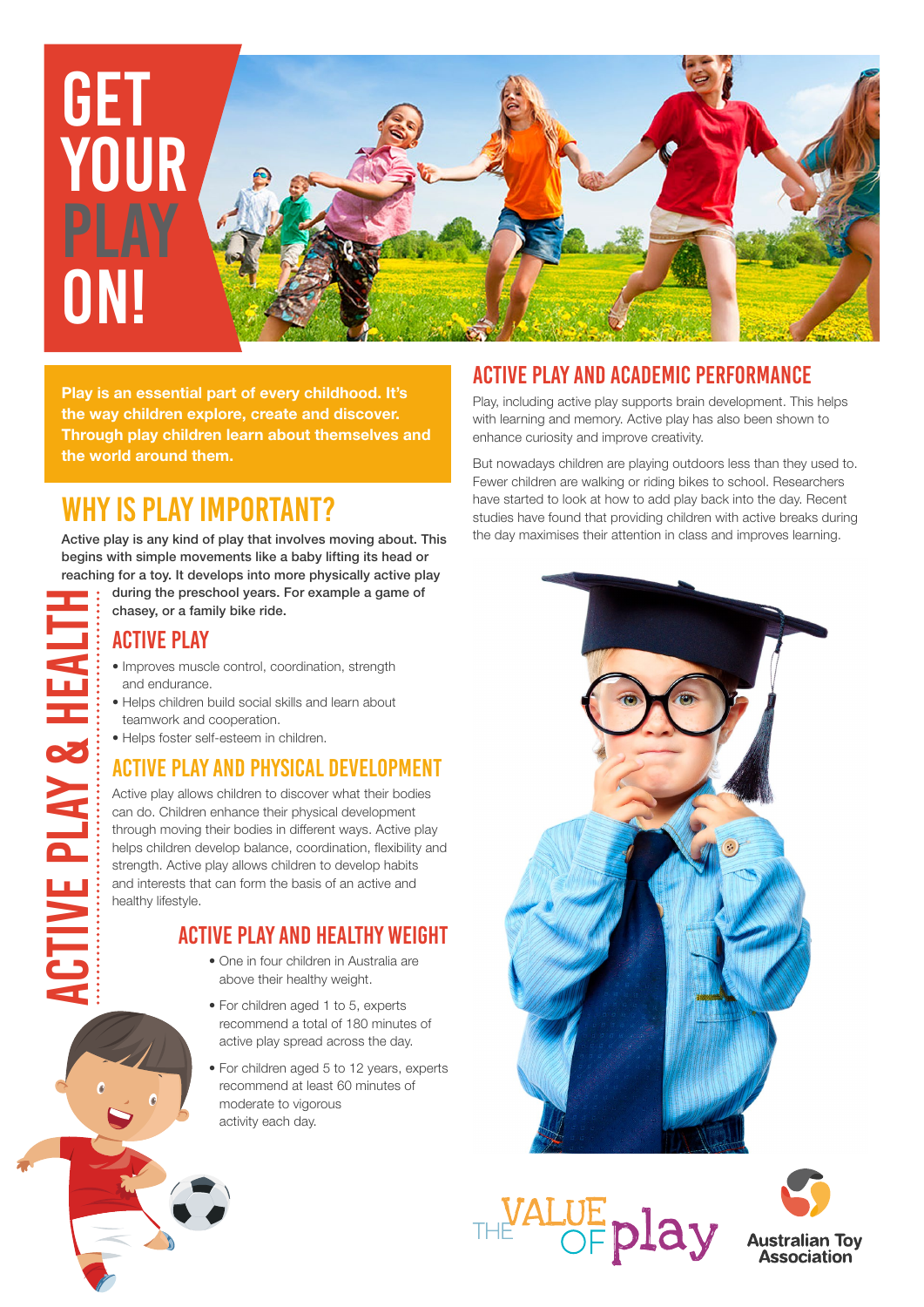

**Play is an essential part of every childhood. It's the way children explore, create and discover. Through play children learn about themselves and the world around them.**

# WHY IS play IMPORTANT?

Active play is any kind of play that involves moving about. This begins with simple movements like a baby lifting its head or reaching for a toy. It develops into more physically active play

during the preschool years. For example a game of chasey, or a family bike ride. CTIVE PLAY & HEALTI

#### ACTIVE PLAY

Active Play & health

- Improves muscle control, coordination, strength and endurance.
- Helps children build social skills and learn about teamwork and cooperation.
- Helps foster self-esteem in children.

#### ACTIVE PLAY AND PHYSICAL DEVELOPMENT

Active play allows children to discover what their bodies can do. Children enhance their physical development through moving their bodies in different ways. Active play helps children develop balance, coordination, flexibility and strength. Active play allows children to develop habits and interests that can form the basis of an active and healthy lifestyle.

#### ACTIVE PLAY AND HEALTHY WEIGHT

- One in four children in Australia are above their healthy weight.
- For children aged 1 to 5, experts recommend a total of 180 minutes of active play spread across the day.
- For children aged 5 to 12 years, experts recommend at least 60 minutes of moderate to vigorous activity each day.

### ACTIVE PLAY AND ACADEMIC PERFORMANCE

Play, including active play supports brain development. This helps with learning and memory. Active play has also been shown to enhance curiosity and improve creativity.

But nowadays children are playing outdoors less than they used to. Fewer children are walking or riding bikes to school. Researchers have started to look at how to add play back into the day. Recent studies have found that providing children with active breaks during the day maximises their attention in class and improves learning.